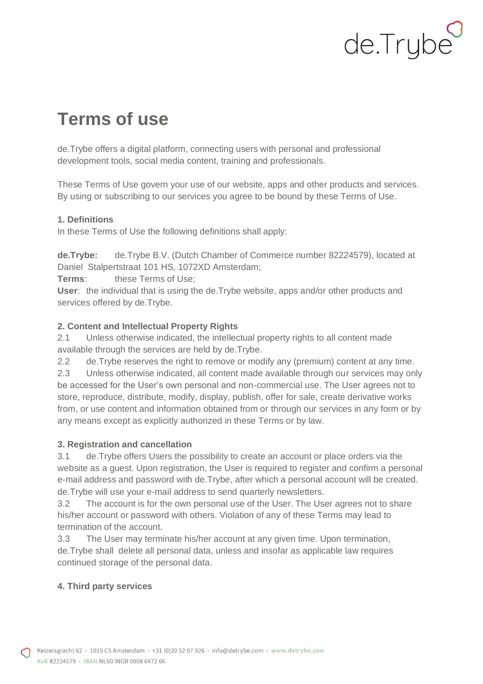# de.Trybe

## **Terms of use**

de.Trybe offers a digital platform, connecting users with personal and professional development tools, social media content, training and professionals.

These Terms of Use govern your use of our website, apps and other products and services. By using or subscribing to our services you agree to be bound by these Terms of Use.

#### **1. Definitions**

In these Terms of Use the following definitions shall apply:

**de.Trybe:** de.Trybe B.V. (Dutch Chamber of Commerce number 82224579), located at Daniel Stalpertstraat 101 HS, 1072XD Amsterdam;

**Terms**: these Terms of Use;

**User**: the individual that is using the de.Trybe website, apps and/or other products and services offered by de.Trybe.

#### **2. Content and Intellectual Property Rights**

2.1 Unless otherwise indicated, the intellectual property rights to all content made available through the services are held by de.Trybe.

2.2 de.Trybe reserves the right to remove or modify any (premium) content at any time. 2.3 Unless otherwise indicated, all content made available through our services may only

be accessed for the User's own personal and non-commercial use. The User agrees not to store, reproduce, distribute, modify, display, publish, offer for sale, create derivative works from, or use content and information obtained from or through our services in any form or by any means except as explicitly authorized in these Terms or by law.

#### **3. Registration and cancellation**

3.1 de.Trybe offers Users the possibility to create an account or place orders via the website as a guest. Upon registration, the User is required to register and confirm a personal e-mail address and password with de.Trybe, after which a personal account will be created. de.Trybe will use your e-mail address to send quarterly newsletters.

3.2 The account is for the own personal use of the User. The User agrees not to share his/her account or password with others. Violation of any of these Terms may lead to termination of the account.

3.3 The User may terminate his/her account at any given time. Upon termination, de.Trybe shall delete all personal data, unless and insofar as applicable law requires continued storage of the personal data.

### **4. Third party services**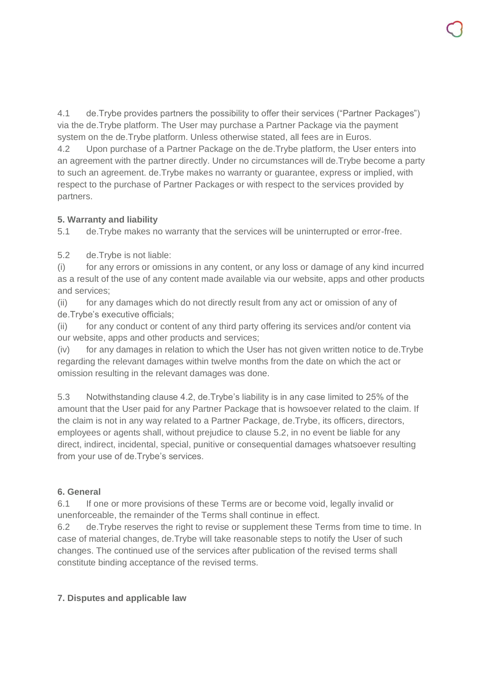4.1 de.Trybe provides partners the possibility to offer their services ("Partner Packages") via the de.Trybe platform. The User may purchase a Partner Package via the payment system on the de.Trybe platform. Unless otherwise stated, all fees are in Euros.

4.2 Upon purchase of a Partner Package on the de.Trybe platform, the User enters into an agreement with the partner directly. Under no circumstances will de.Trybe become a party to such an agreement. de.Trybe makes no warranty or guarantee, express or implied, with respect to the purchase of Partner Packages or with respect to the services provided by partners.

#### **5. Warranty and liability**

5.1 de.Trybe makes no warranty that the services will be uninterrupted or error-free.

5.2 de.Trybe is not liable:

(i) for any errors or omissions in any content, or any loss or damage of any kind incurred as a result of the use of any content made available via our website, apps and other products and services;

(ii) for any damages which do not directly result from any act or omission of any of de.Trybe's executive officials;

(ii) for any conduct or content of any third party offering its services and/or content via our website, apps and other products and services;

(iv) for any damages in relation to which the User has not given written notice to de.Trybe regarding the relevant damages within twelve months from the date on which the act or omission resulting in the relevant damages was done.

5.3 Notwithstanding clause 4.2, de.Trybe's liability is in any case limited to 25% of the amount that the User paid for any Partner Package that is howsoever related to the claim. If the claim is not in any way related to a Partner Package, de.Trybe, its officers, directors, employees or agents shall, without prejudice to clause 5.2, in no event be liable for any direct, indirect, incidental, special, punitive or consequential damages whatsoever resulting from your use of de.Trybe's services.

#### **6. General**

6.1 If one or more provisions of these Terms are or become void, legally invalid or unenforceable, the remainder of the Terms shall continue in effect.

6.2 de.Trybe reserves the right to revise or supplement these Terms from time to time. In case of material changes, de.Trybe will take reasonable steps to notify the User of such changes. The continued use of the services after publication of the revised terms shall constitute binding acceptance of the revised terms.

#### **7. Disputes and applicable law**